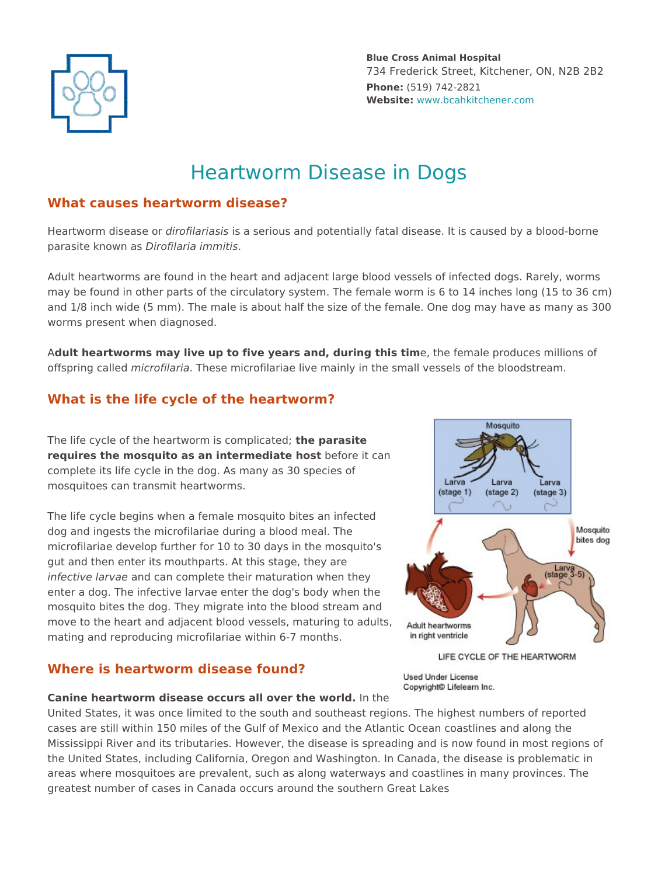

# Heartworm Disease in Dogs

## **What causes heartworm disease?**

Heartworm disease or *dirofilariasis* is a serious and potentially fatal disease. It is caused by a blood-borne parasite known as *Dirofilaria immitis*.

Adult heartworms are found in the heart and adjacent large blood vessels of infected dogs. Rarely, worms may be found in other parts of the circulatory system. The female worm is 6 to 14 inches long (15 to 36 cm) and 1/8 inch wide (5 mm). The male is about half the size of the female. One dog may have as many as 300 worms present when diagnosed.

A**dult heartworms may live up to five years and, during this tim**e, the female produces millions of offspring called *microfilaria*. These microfilariae live mainly in the small vessels of the bloodstream.

## **What is the life cycle of the heartworm?**

The life cycle of the heartworm is complicated; **the parasite requires the mosquito as an intermediate host** before it can complete its life cycle in the dog. As many as 30 species of mosquitoes can transmit heartworms.

The life cycle begins when a female mosquito bites an infected dog and ingests the microfilariae during a blood meal. The microfilariae develop further for 10 to 30 days in the mosquito's gut and then enter its mouthparts. At this stage, they are *infective larvae* and can complete their maturation when they enter a dog. The infective larvae enter the dog's body when the mosquito bites the dog. They migrate into the blood stream and move to the heart and adjacent blood vessels, maturing to adults, mating and reproducing microfilariae within 6-7 months.

## **Where is heartworm disease found?**



#### **Canine heartworm disease occurs all over the world.** In the

United States, it was once limited to the south and southeast regions. The highest numbers of reported cases are still within 150 miles of the Gulf of Mexico and the Atlantic Ocean coastlines and along the Mississippi River and its tributaries. However, the disease is spreading and is now found in most regions of the United States, including California, Oregon and Washington. In Canada, the disease is problematic in **Example 19** are a strength of the strength of the strength of the strength of the strength of the strength of the strength of the strength of the strength of the strength of the strength of the strength of the southern d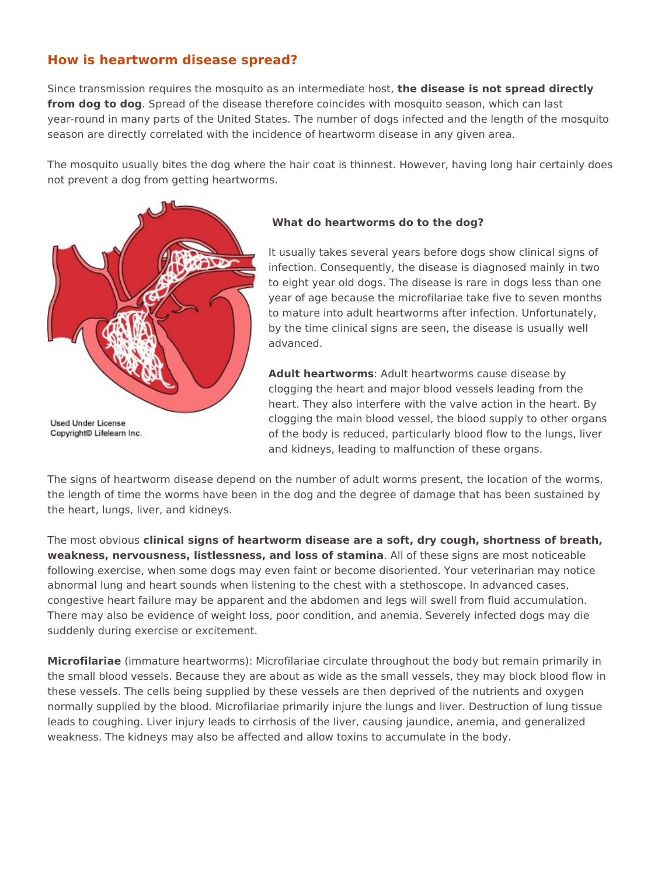## **How is heartworm disease spread?**

Since transmission requires the mosquito as an intermediate host, **the disease is not spread directly from dog to dog**. Spread of the disease therefore coincides with mosquito season, which can last year-round in many parts of the United States. The number of dogs infected and the length of the mosquito season are directly correlated with the incidence of heartworm disease in any given area.

The mosquito usually bites the dog where the hair coat is thinnest. However, having long hair certainly does not prevent a dog from getting heartworms.



 **What do heartworms do to the dog?**

It usually takes several years before dogs show clinical signs of infection. Consequently, the disease is diagnosed mainly in two to eight year old dogs. The disease is rare in dogs less than one year of age because the microfilariae take five to seven months to mature into adult heartworms after infection. Unfortunately, by the time clinical signs are seen, the disease is usually well advanced.

**Adult heartworms**: Adult heartworms cause disease by clogging the heart and major blood vessels leading from the heart. They also interfere with the valve action in the heart. By clogging the main blood vessel, the blood supply to other organs of the body is reduced, particularly blood flow to the lungs, liver and kidneys, leading to malfunction of these organs.

The signs of heartworm disease depend on the number of adult worms present, the location of the worms, the length of time the worms have been in the dog and the degree of damage that has been sustained by the heart, lungs, liver, and kidneys.

The most obvious **clinical signs of heartworm disease are a soft, dry cough, shortness of breath, weakness, nervousness, listlessness, and loss of stamina**. All of these signs are most noticeable following exercise, when some dogs may even faint or become disoriented. Your veterinarian may notice abnormal lung and heart sounds when listening to the chest with a stethoscope. In advanced cases, congestive heart failure may be apparent and the abdomen and legs will swell from fluid accumulation. There may also be evidence of weight loss, poor condition, and anemia. Severely infected dogs may die suddenly during exercise or excitement. How is heartworm disease spread?<br>
Steve convention invorting that disease lands paraditectly<br>
from degree degrives of the disease like offer conclusion with mosquite second which until the<br>
from degree degrives of the dis

**Microfilariae** (immature heartworms): Microfilariae circulate throughout the body but remain primarily in the small blood vessels. Because they are about as wide as the small vessels, they may block blood flow in these vessels. The cells being supplied by these vessels are then deprived of the nutrients and oxygen normally supplied by the blood. Microfilariae primarily injure the lungs and liver. Destruction of lung tissue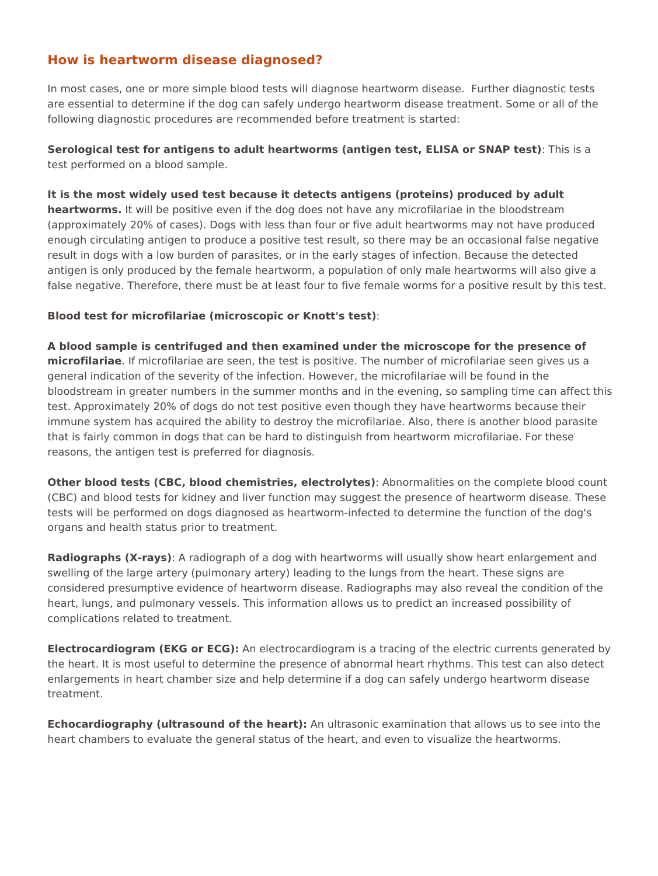## **How is heartworm disease diagnosed?**

In most cases, one or more simple blood tests will diagnose heartworm disease. Further diagnostic tests are essential to determine if the dog can safely undergo heartworm disease treatment. Some or all of the following diagnostic procedures are recommended before treatment is started:

**Serological test for antigens to adult heartworms (antigen test, ELISA or SNAP test)**: This is a test performed on a blood sample.

**It is the most widely used test because it detects antigens (proteins) produced by adult heartworms.** It will be positive even if the dog does not have any microfilariae in the bloodstream (approximately 20% of cases). Dogs with less than four or five adult heartworms may not have produced enough circulating antigen to produce a positive test result, so there may be an occasional false negative result in dogs with a low burden of parasites, or in the early stages of infection. Because the detected antigen is only produced by the female heartworm, a population of only male heartworms will also give a false negative. Therefore, there must be at least four to five female worms for a positive result by this test.

#### **Blood test for microfilariae (microscopic or Knott's test)**:

**A blood sample is centrifuged and then examined under the microscope for the presence of microfilariae**. If microfilariae are seen, the test is positive. The number of microfilariae seen gives us a general indication of the severity of the infection. However, the microfilariae will be found in the bloodstream in greater numbers in the summer months and in the evening, so sampling time can affect this test. Approximately 20% of dogs do not test positive even though they have heartworms because their immune system has acquired the ability to destroy the microfilariae. Also, there is another blood parasite that is fairly common in dogs that can be hard to distinguish from heartworm microfilariae. For these reasons, the antigen test is preferred for diagnosis. How is heartworm disease diagnosed?<br>
In read rates, the are conserved and conserved and a popular health of the state of the conserved and the state of the state of the state of the state of the state of the state of the

**Other blood tests (CBC, blood chemistries, electrolytes)**: Abnormalities on the complete blood count (CBC) and blood tests for kidney and liver function may suggest the presence of heartworm disease. These tests will be performed on dogs diagnosed as heartworm-infected to determine the function of the dog's organs and health status prior to treatment.

**Radiographs (X-rays)**: A radiograph of a dog with heartworms will usually show heart enlargement and swelling of the large artery (pulmonary artery) leading to the lungs from the heart. These signs are considered presumptive evidence of heartworm disease. Radiographs may also reveal the condition of the heart, lungs, and pulmonary vessels. This information allows us to predict an increased possibility of complications related to treatment.

**Electrocardiogram (EKG or ECG):** An electrocardiogram is a tracing of the electric currents generated by the heart. It is most useful to determine the presence of abnormal heart rhythms. This test can also detect enlargements in heart chamber size and help determine if a dog can safely undergo heartworm disease treatment.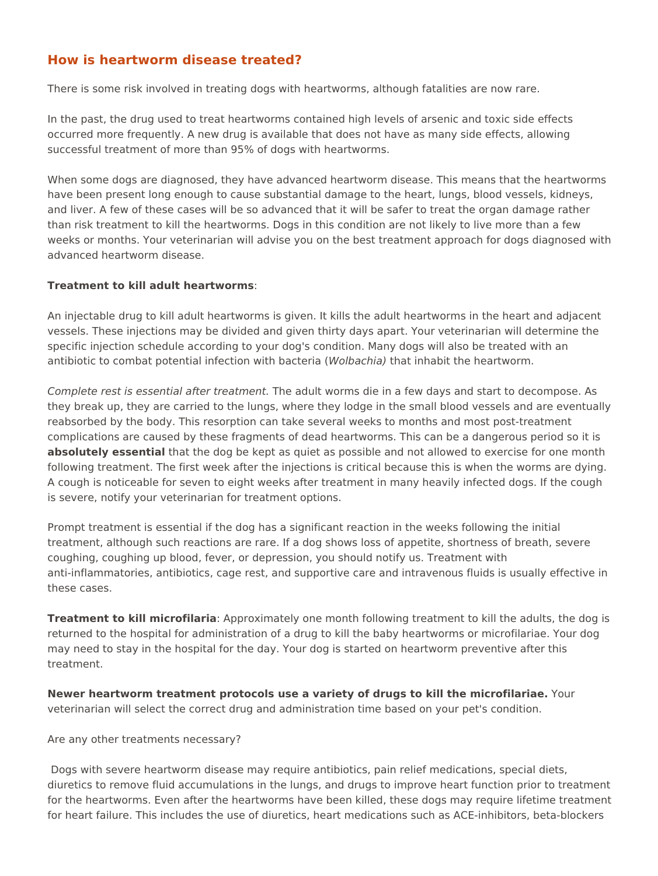## **How is heartworm disease treated?**

There is some risk involved in treating dogs with heartworms, although fatalities are now rare.

In the past, the drug used to treat heartworms contained high levels of arsenic and toxic side effects occurred more frequently. A new drug is available that does not have as many side effects, allowing successful treatment of more than 95% of dogs with heartworms.

When some dogs are diagnosed, they have advanced heartworm disease. This means that the heartworms have been present long enough to cause substantial damage to the heart, lungs, blood vessels, kidneys, and liver. A few of these cases will be so advanced that it will be safer to treat the organ damage rather than risk treatment to kill the heartworms. Dogs in this condition are not likely to live more than a few weeks or months. Your veterinarian will advise you on the best treatment approach for dogs diagnosed with advanced heartworm disease.

#### **Treatment to kill adult heartworms**:

An injectable drug to kill adult heartworms is given. It kills the adult heartworms in the heart and adjacent vessels. These injections may be divided and given thirty days apart. Your veterinarian will determine the specific injection schedule according to your dog's condition. Many dogs will also be treated with an antibiotic to combat potential infection with bacteria (*Wolbachia)* that inhabit the heartworm.

*Complete rest is essential after treatment.* The adult worms die in a few days and start to decompose. As they break up, they are carried to the lungs, where they lodge in the small blood vessels and are eventually reabsorbed by the body. This resorption can take several weeks to months and most post-treatment complications are caused by these fragments of dead heartworms. This can be a dangerous period so it is **absolutely essential** that the dog be kept as quiet as possible and not allowed to exercise for one month following treatment. The first week after the injections is critical because this is when the worms are dying. A cough is noticeable for seven to eight weeks after treatment in many heavily infected dogs. If the cough is severe, notify your veterinarian for treatment options. How is heartworm disease treated?<br>
Then is a margin graph of manner of consideration and the state of the state of the state of the state of the state of the state of the state of the state of the state of the state of th

Prompt treatment is essential if the dog has a significant reaction in the weeks following the initial treatment, although such reactions are rare. If a dog shows loss of appetite, shortness of breath, severe coughing, coughing up blood, fever, or depression, you should notify us. Treatment with anti-inflammatories, antibiotics, cage rest, and supportive care and intravenous fluids is usually effective in these cases.

**Treatment to kill microfilaria**: Approximately one month following treatment to kill the adults, the dog is returned to the hospital for administration of a drug to kill the baby heartworms or microfilariae. Your dog may need to stay in the hospital for the day. Your dog is started on heartworm preventive after this treatment.

**Newer heartworm treatment protocols use a variety of drugs to kill the microfilariae.** Your veterinarian will select the correct drug and administration time based on your pet's condition.

#### Are any other treatments necessary?

 Dogs with severe heartworm disease may require antibiotics, pain relief medications, special diets, diuretics to remove fluid accumulations in the lungs, and drugs to improve heart function prior to treatment